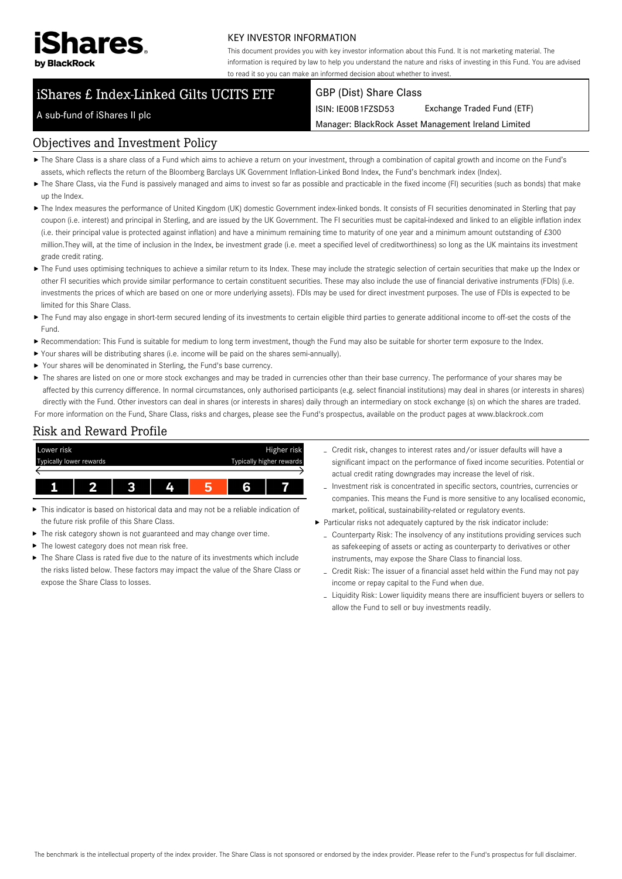

#### KEY INVESTOR INFORMATION

This document provides you with key investor information about this Fund. It is not marketing material. The information is required by law to help you understand the nature and risks of investing in this Fund. You are advised to read it so you can make an informed decision about whether to invest.

# iShares £ Index-Linked Gilts UCITS ETF

#### GBP (Dist) Share Class

ISIN: IE00B1FZSD53 Exchange Traded Fund (ETF)

Manager: BlackRock Asset Management Ireland Limited

#### A sub-fund of iShares II plc

#### Objectives and Investment Policy

- The Share Class is a share class of a Fund which aims to achieve a return on your investment, through a combination of capital growth and income on the Fund's assets, which reflects the return of the Bloomberg Barclays UK Government Inflation-Linked Bond Index, the Fund's benchmark index (Index).
- ▶ The Share Class, via the Fund is passively managed and aims to invest so far as possible and practicable in the fixed income (FI) securities (such as bonds) that make up the Index.
- ▶ The Index measures the performance of United Kingdom (UK) domestic Government index-linked bonds. It consists of FI securities denominated in Sterling that pay coupon (i.e. interest) and principal in Sterling, and are issued by the UK Government. The FI securities must be capital-indexed and linked to an eligible inflation index (i.e. their principal value is protected against inflation) and have a minimum remaining time to maturity of one year and a minimum amount outstanding of £300 million.They will, at the time of inclusion in the Index, be investment grade (i.e. meet a specified level of creditworthiness) so long as the UK maintains its investment grade credit rating.
- ▶ The Fund uses optimising techniques to achieve a similar return to its Index. These may include the strategic selection of certain securities that make up the Index or other FI securities which provide similar performance to certain constituent securities. These may also include the use of financial derivative instruments (FDIs) (i.e. investments the prices of which are based on one or more underlying assets). FDIs may be used for direct investment purposes. The use of FDIs is expected to be limited for this Share Class.
- ▶ The Fund may also engage in short-term secured lending of its investments to certain eligible third parties to generate additional income to off-set the costs of the Fund.
- Recommendation: This Fund is suitable for medium to long term investment, though the Fund may also be suitable for shorter term exposure to the Index.
- Your shares will be distributing shares (i.e. income will be paid on the shares semi-annually).
- Your shares will be denominated in Sterling, the Fund's base currency.
- ▶ The shares are listed on one or more stock exchanges and may be traded in currencies other than their base currency. The performance of your shares may be affected by this currency difference. In normal circumstances, only authorised participants (e.g. select financial institutions) may deal in shares (or interests in shares) directly with the Fund. Other investors can deal in shares (or interests in shares) daily through an intermediary on stock exchange (s) on which the shares are traded. For more information on the Fund, Share Class, risks and charges, please see the Fund's prospectus, available on the product pages at www.blackrock.com

## Risk and Reward Profile



- This indicator is based on historical data and may not be a reliable indication of the future risk profile of this Share Class.
- The risk category shown is not guaranteed and may change over time.
- The lowest category does not mean risk free. ь
- $\triangleright$  The Share Class is rated five due to the nature of its investments which include the risks listed below. These factors may impact the value of the Share Class or expose the Share Class to losses.
- Credit risk, changes to interest rates and/or issuer defaults will have a significant impact on the performance of fixed income securities. Potential or actual credit rating downgrades may increase the level of risk.
- Investment risk is concentrated in specific sectors, countries, currencies or companies. This means the Fund is more sensitive to any localised economic, market, political, sustainability-related or regulatory events.
- Particular risks not adequately captured by the risk indicator include:
	- Counterparty Risk: The insolvency of any institutions providing services such as safekeeping of assets or acting as counterparty to derivatives or other instruments, may expose the Share Class to financial loss.
	- Credit Risk: The issuer of a financial asset held within the Fund may not pay income or repay capital to the Fund when due.
	- Liquidity Risk: Lower liquidity means there are insufficient buyers or sellers to allow the Fund to sell or buy investments readily.